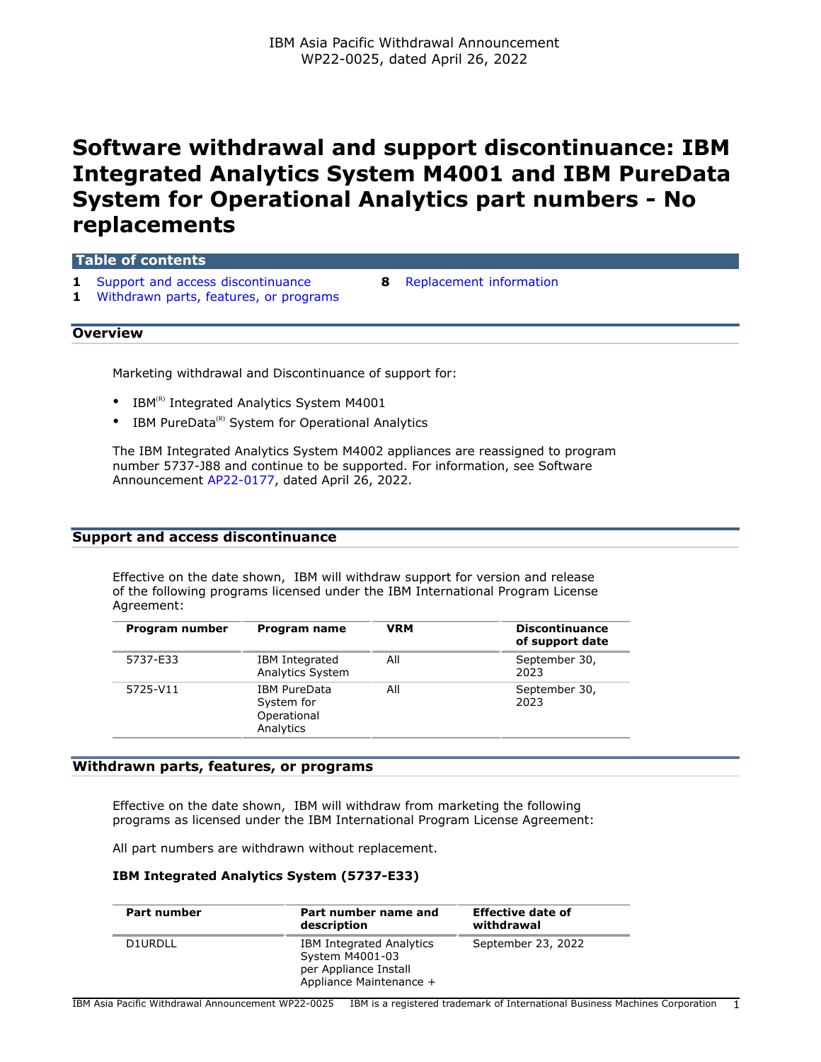# **Software withdrawal and support discontinuance: IBM Integrated Analytics System M4001 and IBM PureData System for Operational Analytics part numbers - No replacements**

| Table of contents                                                               |  |                                  |  |  |
|---------------------------------------------------------------------------------|--|----------------------------------|--|--|
| 1 Support and access discontinuance<br>1 Withdrawn parts, features, or programs |  | <b>8</b> Replacement information |  |  |
| <b>Overview</b>                                                                 |  |                                  |  |  |

Marketing withdrawal and Discontinuance of support for:

- IBM $^{(R)}$  Integrated Analytics System M4001
- IBM PureData $^{(R)}$  System for Operational Analytics

The IBM Integrated Analytics System M4002 appliances are reassigned to program number 5737-J88 and continue to be supported. For information, see Software Announcement [AP22-0177,](http://www.ibm.com/common/ssi/cgi-bin/ssialias?infotype=an&subtype=ca&appname=gpateam&supplier=872&letternum=ENUSAP22-0177) dated April 26, 2022.

#### <span id="page-0-0"></span>**Support and access discontinuance**

Effective on the date shown, IBM will withdraw support for version and release of the following programs licensed under the IBM International Program License Agreement:

| Program number | Program name                                                  | <b>VRM</b> | <b>Discontinuance</b><br>of support date |
|----------------|---------------------------------------------------------------|------------|------------------------------------------|
| 5737-E33       | IBM Integrated<br><b>Analytics System</b>                     | All        | September 30,<br>2023                    |
| 5725-V11       | <b>IBM PureData</b><br>System for<br>Operational<br>Analytics | All        | September 30,<br>2023                    |

#### <span id="page-0-1"></span>**Withdrawn parts, features, or programs**

Effective on the date shown, IBM will withdraw from marketing the following programs as licensed under the IBM International Program License Agreement:

All part numbers are withdrawn without replacement.

#### **IBM Integrated Analytics System (5737-E33)**

| Part number | Part number name and<br>description                                                                    | <b>Effective date of</b><br>withdrawal |
|-------------|--------------------------------------------------------------------------------------------------------|----------------------------------------|
| D1URDLL     | <b>IBM Integrated Analytics</b><br>System M4001-03<br>per Appliance Install<br>Appliance Maintenance + | September 23, 2022                     |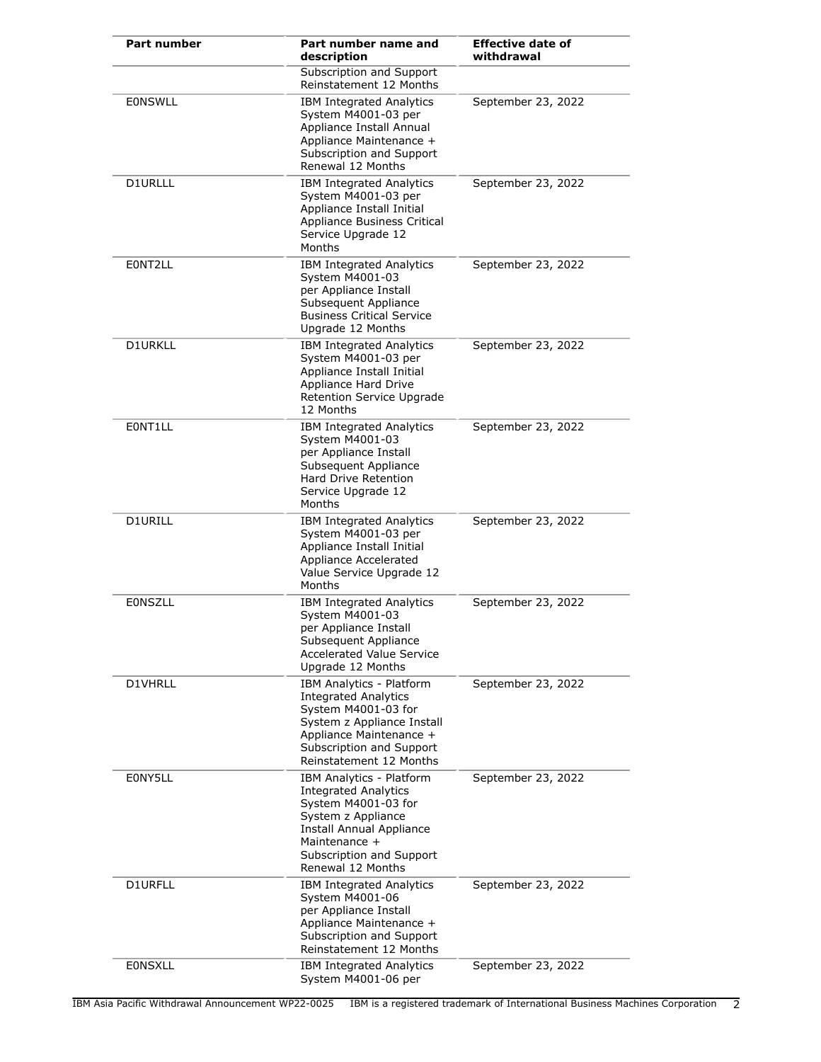| <b>Part number</b> | Part number name and<br>description                                                                                                                                                                       | <b>Effective date of</b><br>withdrawal |
|--------------------|-----------------------------------------------------------------------------------------------------------------------------------------------------------------------------------------------------------|----------------------------------------|
|                    | Subscription and Support<br>Reinstatement 12 Months                                                                                                                                                       |                                        |
| <b>EONSWLL</b>     | <b>IBM Integrated Analytics</b><br>System M4001-03 per<br>Appliance Install Annual<br>Appliance Maintenance +<br>Subscription and Support<br>Renewal 12 Months                                            | September 23, 2022                     |
| D1URLLL            | <b>IBM Integrated Analytics</b><br>System M4001-03 per<br>Appliance Install Initial<br>Appliance Business Critical<br>Service Upgrade 12<br>Months                                                        | September 23, 2022                     |
| E0NT2LL            | <b>IBM Integrated Analytics</b><br>System M4001-03<br>per Appliance Install<br>Subsequent Appliance<br><b>Business Critical Service</b><br>Upgrade 12 Months                                              | September 23, 2022                     |
| <b>D1URKLL</b>     | <b>IBM Integrated Analytics</b><br>System M4001-03 per<br>Appliance Install Initial<br>Appliance Hard Drive<br>Retention Service Upgrade<br>12 Months                                                     | September 23, 2022                     |
| EONT1LL            | <b>IBM Integrated Analytics</b><br>System M4001-03<br>per Appliance Install<br>Subsequent Appliance<br>Hard Drive Retention<br>Service Upgrade 12<br>Months                                               | September 23, 2022                     |
| <b>D1URILL</b>     | <b>IBM Integrated Analytics</b><br>System M4001-03 per<br>Appliance Install Initial<br>Appliance Accelerated<br>Value Service Upgrade 12<br>Months                                                        | September 23, 2022                     |
| <b>EONSZLL</b>     | <b>IBM Integrated Analytics</b><br>System M4001-03<br>per Appliance Install<br>Subsequent Appliance<br><b>Accelerated Value Service</b><br>Upgrade 12 Months                                              | September 23, 2022                     |
| D1VHRLL            | <b>IBM Analytics - Platform</b><br><b>Integrated Analytics</b><br>System M4001-03 for<br>System z Appliance Install<br>Appliance Maintenance +<br>Subscription and Support<br>Reinstatement 12 Months     | September 23, 2022                     |
| E0NY5LL            | <b>IBM Analytics - Platform</b><br><b>Integrated Analytics</b><br>System M4001-03 for<br>System z Appliance<br>Install Annual Appliance<br>Maintenance +<br>Subscription and Support<br>Renewal 12 Months | September 23, 2022                     |
| D1URFLL            | IBM Integrated Analytics<br>System M4001-06<br>per Appliance Install<br>Appliance Maintenance +<br>Subscription and Support<br>Reinstatement 12 Months                                                    | September 23, 2022                     |
| <b>EONSXLL</b>     | <b>IBM Integrated Analytics</b><br>System M4001-06 per                                                                                                                                                    | September 23, 2022                     |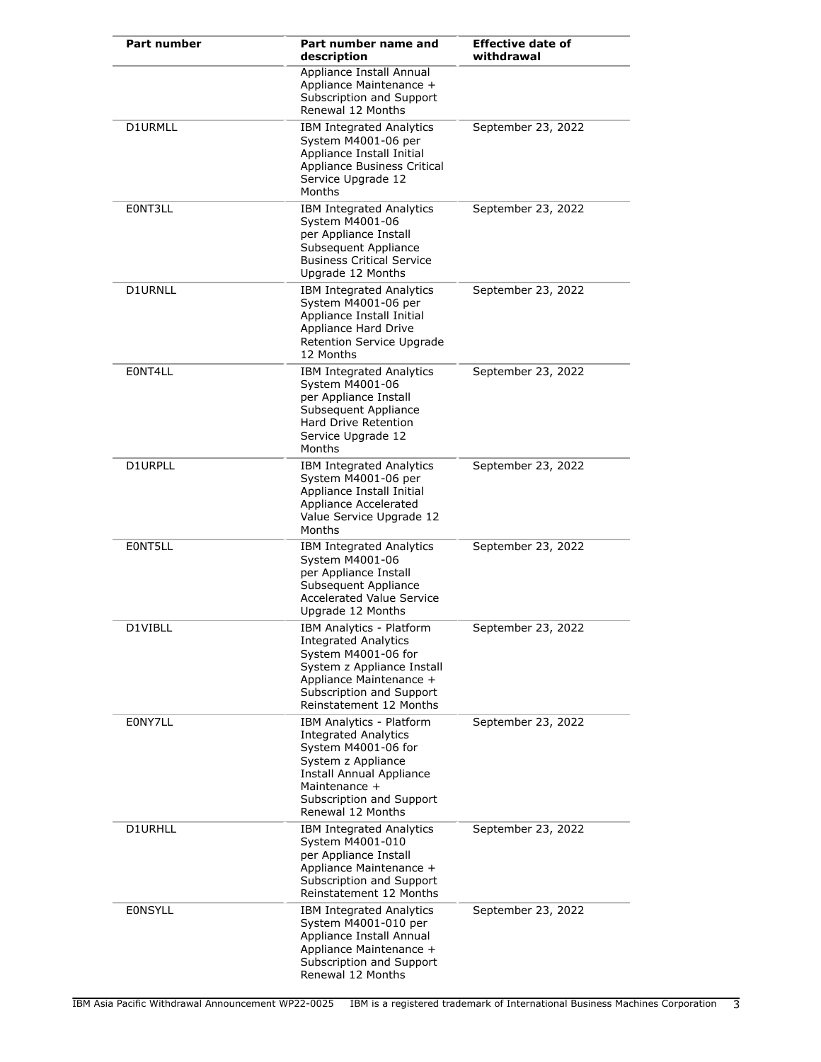| <b>Part number</b> | Part number name and<br>description                                                                                                                                                                | <b>Effective date of</b><br>withdrawal |
|--------------------|----------------------------------------------------------------------------------------------------------------------------------------------------------------------------------------------------|----------------------------------------|
|                    | Appliance Install Annual<br>Appliance Maintenance +<br>Subscription and Support<br>Renewal 12 Months                                                                                               |                                        |
| D1URMLL            | <b>IBM Integrated Analytics</b><br>System M4001-06 per<br>Appliance Install Initial<br>Appliance Business Critical<br>Service Upgrade 12<br>Months                                                 | September 23, 2022                     |
| E0NT3LL            | <b>IBM Integrated Analytics</b><br>System M4001-06<br>per Appliance Install<br>Subsequent Appliance<br><b>Business Critical Service</b><br>Upgrade 12 Months                                       | September 23, 2022                     |
| D1URNLL            | <b>IBM Integrated Analytics</b><br>System M4001-06 per<br>Appliance Install Initial<br>Appliance Hard Drive<br>Retention Service Upgrade<br>12 Months                                              | September 23, 2022                     |
| E0NT4LL            | <b>IBM Integrated Analytics</b><br>System M4001-06<br>per Appliance Install<br>Subsequent Appliance<br>Hard Drive Retention<br>Service Upgrade 12<br>Months                                        | September 23, 2022                     |
| D1URPLL            | <b>IBM Integrated Analytics</b><br>System M4001-06 per<br>Appliance Install Initial<br>Appliance Accelerated<br>Value Service Upgrade 12<br>Months                                                 | September 23, 2022                     |
| EONT5LL            | <b>IBM Integrated Analytics</b><br>System M4001-06<br>per Appliance Install<br>Subsequent Appliance<br><b>Accelerated Value Service</b><br>Upgrade 12 Months                                       | September 23, 2022                     |
| D1VIBLL            | IBM Analytics - Platform<br><b>Integrated Analytics</b><br>System M4001-06 for<br>System z Appliance Install<br>Appliance Maintenance +<br>Subscription and Support<br>Reinstatement 12 Months     | September 23, 2022                     |
| E0NY7LL            | IBM Analytics - Platform<br><b>Integrated Analytics</b><br>System M4001-06 for<br>System z Appliance<br>Install Annual Appliance<br>Maintenance +<br>Subscription and Support<br>Renewal 12 Months | September 23, 2022                     |
| D1URHLL            | <b>IBM Integrated Analytics</b><br>System M4001-010<br>per Appliance Install<br>Appliance Maintenance +<br>Subscription and Support<br>Reinstatement 12 Months                                     | September 23, 2022                     |
| <b>EONSYLL</b>     | <b>IBM Integrated Analytics</b><br>System M4001-010 per<br>Appliance Install Annual<br>Appliance Maintenance +<br>Subscription and Support<br>Renewal 12 Months                                    | September 23, 2022                     |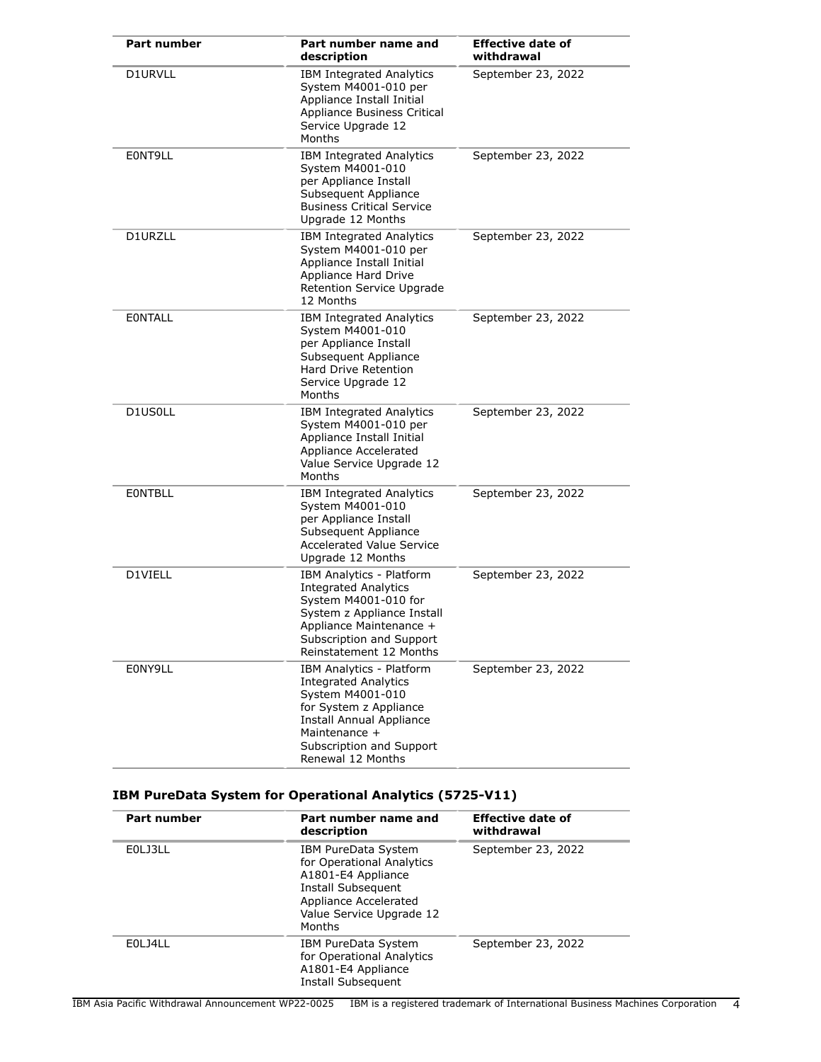| <b>Part number</b> | Part number name and<br>description                                                                                                                                                                        | <b>Effective date of</b><br>withdrawal |
|--------------------|------------------------------------------------------------------------------------------------------------------------------------------------------------------------------------------------------------|----------------------------------------|
| D1URVLL            | <b>IBM Integrated Analytics</b><br>System M4001-010 per<br>Appliance Install Initial<br>Appliance Business Critical<br>Service Upgrade 12<br>Months                                                        | September 23, 2022                     |
| EONT9LL            | <b>IBM Integrated Analytics</b><br>System M4001-010<br>per Appliance Install<br>Subsequent Appliance<br><b>Business Critical Service</b><br>Upgrade 12 Months                                              | September 23, 2022                     |
| D1URZLL            | <b>IBM Integrated Analytics</b><br>System M4001-010 per<br>Appliance Install Initial<br>Appliance Hard Drive<br>Retention Service Upgrade<br>12 Months                                                     | September 23, 2022                     |
| <b>EONTALL</b>     | IBM Integrated Analytics<br>System M4001-010<br>per Appliance Install<br>Subsequent Appliance<br><b>Hard Drive Retention</b><br>Service Upgrade 12<br>Months                                               | September 23, 2022                     |
| D1US0LL            | <b>IBM Integrated Analytics</b><br>System M4001-010 per<br>Appliance Install Initial<br>Appliance Accelerated<br>Value Service Upgrade 12<br>Months                                                        | September 23, 2022                     |
| <b>EONTBLL</b>     | <b>IBM Integrated Analytics</b><br>System M4001-010<br>per Appliance Install<br>Subsequent Appliance<br><b>Accelerated Value Service</b><br>Upgrade 12 Months                                              | September 23, 2022                     |
| D1VIELL            | IBM Analytics - Platform<br><b>Integrated Analytics</b><br>System M4001-010 for<br>System z Appliance Install<br>Appliance Maintenance +<br>Subscription and Support<br>Reinstatement 12 Months            | September 23, 2022                     |
| E0NY9LL            | IBM Analytics - Platform<br><b>Integrated Analytics</b><br>System M4001-010<br>for System z Appliance<br><b>Install Annual Appliance</b><br>Maintenance +<br>Subscription and Support<br>Renewal 12 Months | September 23, 2022                     |

### **IBM PureData System for Operational Analytics (5725-V11)**

| Part number | Part number name and<br>description                                                                                                                         | <b>Effective date of</b><br>withdrawal |
|-------------|-------------------------------------------------------------------------------------------------------------------------------------------------------------|----------------------------------------|
| E0LJ3LL     | IBM PureData System<br>for Operational Analytics<br>A1801-E4 Appliance<br>Install Subsequent<br>Appliance Accelerated<br>Value Service Upgrade 12<br>Months | September 23, 2022                     |
| EOLJ4LL     | IBM PureData System<br>for Operational Analytics<br>A1801-E4 Appliance<br>Install Subsequent                                                                | September 23, 2022                     |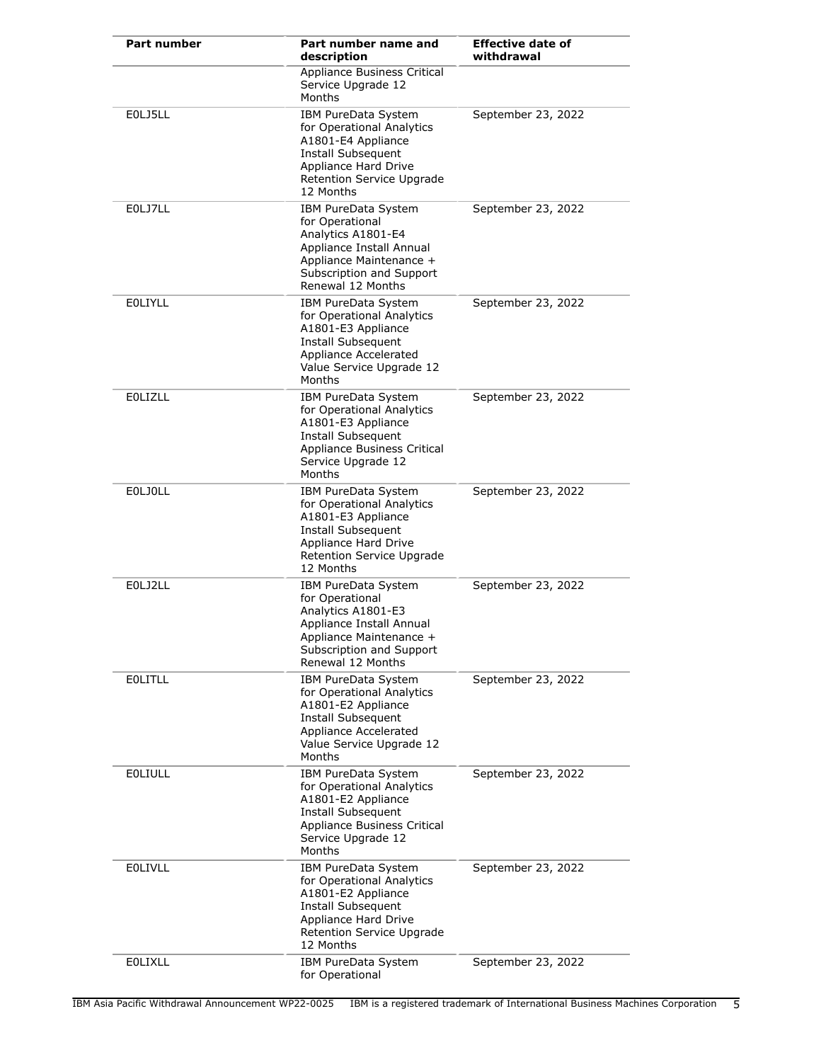| Part number    | Part number name and<br>description                                                                                                                                  | <b>Effective date of</b><br>withdrawal |
|----------------|----------------------------------------------------------------------------------------------------------------------------------------------------------------------|----------------------------------------|
|                | Appliance Business Critical<br>Service Upgrade 12<br>Months                                                                                                          |                                        |
| E0LJ5LL        | IBM PureData System<br>for Operational Analytics<br>A1801-E4 Appliance<br>Install Subsequent<br>Appliance Hard Drive<br>Retention Service Upgrade<br>12 Months       | September 23, 2022                     |
| E0LJ7LL        | IBM PureData System<br>for Operational<br>Analytics A1801-E4<br>Appliance Install Annual<br>Appliance Maintenance +<br>Subscription and Support<br>Renewal 12 Months | September 23, 2022                     |
| <b>EOLIYLL</b> | IBM PureData System<br>for Operational Analytics<br>A1801-E3 Appliance<br>Install Subsequent<br>Appliance Accelerated<br>Value Service Upgrade 12<br>Months          | September 23, 2022                     |
| <b>EOLIZLL</b> | <b>IBM PureData System</b><br>for Operational Analytics<br>A1801-E3 Appliance<br>Install Subsequent<br>Appliance Business Critical<br>Service Upgrade 12<br>Months   | September 23, 2022                     |
| <b>EOLJOLL</b> | IBM PureData System<br>for Operational Analytics<br>A1801-E3 Appliance<br>Install Subsequent<br>Appliance Hard Drive<br>Retention Service Upgrade<br>12 Months       | September 23, 2022                     |
| E0LJ2LL        | IBM PureData System<br>for Operational<br>Analytics A1801-E3<br>Appliance Install Annual<br>Appliance Maintenance +<br>Subscription and Support<br>Renewal 12 Months | September 23, 2022                     |
| <b>EOLITLL</b> | IBM PureData System<br>for Operational Analytics<br>A1801-E2 Appliance<br>Install Subsequent<br>Appliance Accelerated<br>Value Service Upgrade 12<br>Months          | September 23, 2022                     |
| <b>EOLIULL</b> | IBM PureData System<br>for Operational Analytics<br>A1801-E2 Appliance<br>Install Subsequent<br>Appliance Business Critical<br>Service Upgrade 12<br>Months          | September 23, 2022                     |
| <b>EOLIVLL</b> | IBM PureData System<br>for Operational Analytics<br>A1801-E2 Appliance<br>Install Subsequent<br>Appliance Hard Drive<br>Retention Service Upgrade<br>12 Months       | September 23, 2022                     |
| <b>EOLIXLL</b> | IBM PureData System<br>for Operational                                                                                                                               | September 23, 2022                     |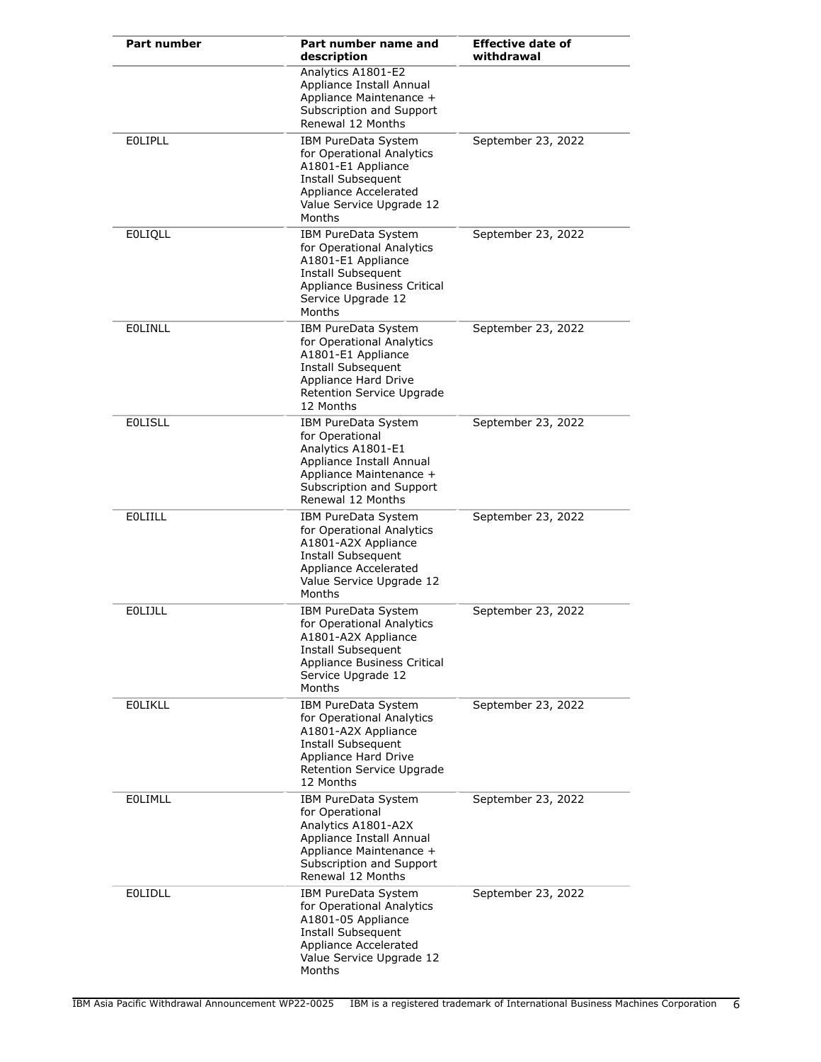| <b>Part number</b> | Part number name and<br>description                                                                                                                                    | <b>Effective date of</b><br>withdrawal |
|--------------------|------------------------------------------------------------------------------------------------------------------------------------------------------------------------|----------------------------------------|
|                    | Analytics A1801-E2<br>Appliance Install Annual<br>Appliance Maintenance +<br>Subscription and Support<br>Renewal 12 Months                                             |                                        |
| <b>EOLIPLL</b>     | IBM PureData System<br>for Operational Analytics<br>A1801-E1 Appliance<br>Install Subsequent<br>Appliance Accelerated<br>Value Service Upgrade 12<br>Months            | September 23, 2022                     |
| <b>EOLIQLL</b>     | IBM PureData System<br>for Operational Analytics<br>A1801-E1 Appliance<br>Install Subsequent<br>Appliance Business Critical<br>Service Upgrade 12<br>Months            | September 23, 2022                     |
| <b>EOLINLL</b>     | IBM PureData System<br>for Operational Analytics<br>A1801-E1 Appliance<br>Install Subsequent<br>Appliance Hard Drive<br>Retention Service Upgrade<br>12 Months         | September 23, 2022                     |
| <b>EOLISLL</b>     | IBM PureData System<br>for Operational<br>Analytics A1801-E1<br>Appliance Install Annual<br>Appliance Maintenance +<br>Subscription and Support<br>Renewal 12 Months   | September 23, 2022                     |
| <b>EOLIILL</b>     | IBM PureData System<br>for Operational Analytics<br>A1801-A2X Appliance<br><b>Install Subsequent</b><br>Appliance Accelerated<br>Value Service Upgrade 12<br>Months    | September 23, 2022                     |
| <b>EOLIJLL</b>     | IBM PureData System<br>for Operational Analytics<br>A1801-A2X Appliance<br>Install Subsequent<br>Appliance Business Critical<br>Service Upgrade 12<br>Months           | September 23, 2022                     |
| <b>EOLIKLL</b>     | IBM PureData System<br>for Operational Analytics<br>A1801-A2X Appliance<br><b>Install Subsequent</b><br>Appliance Hard Drive<br>Retention Service Upgrade<br>12 Months | September 23, 2022                     |
| EOLIMLL            | IBM PureData System<br>for Operational<br>Analytics A1801-A2X<br>Appliance Install Annual<br>Appliance Maintenance +<br>Subscription and Support<br>Renewal 12 Months  | September 23, 2022                     |
| <b>EOLIDLL</b>     | IBM PureData System<br>for Operational Analytics<br>A1801-05 Appliance<br>Install Subsequent<br>Appliance Accelerated<br>Value Service Upgrade 12<br>Months            | September 23, 2022                     |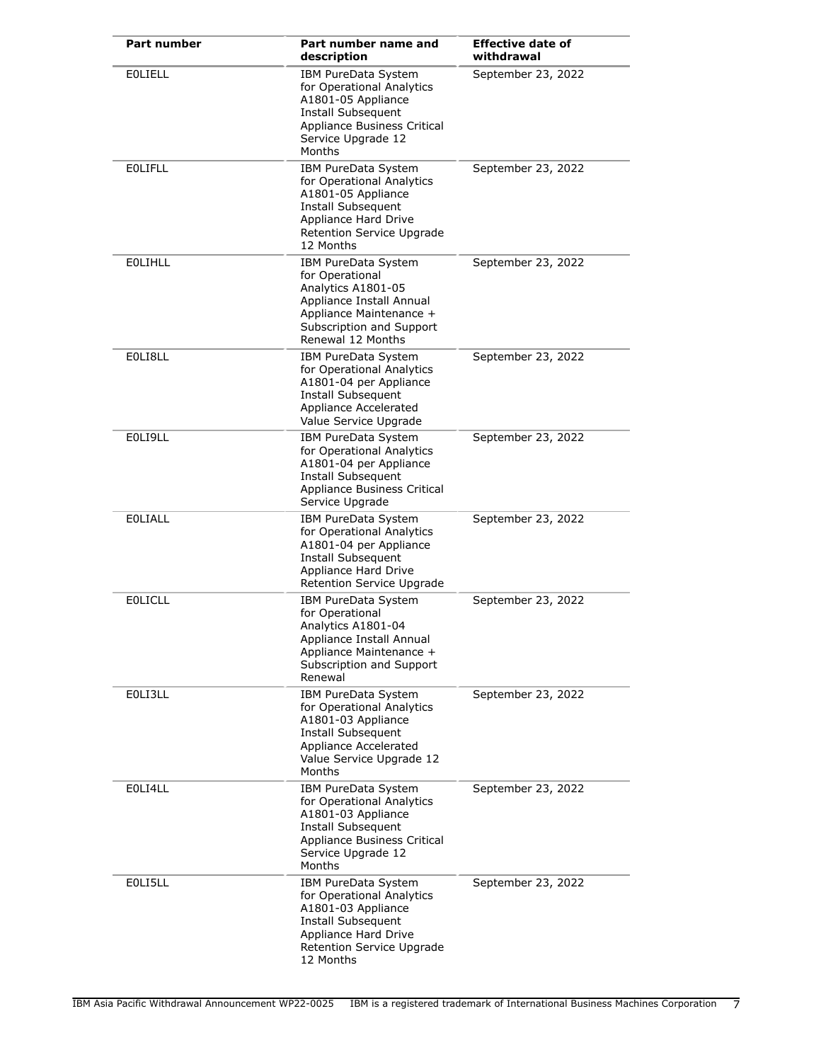| <b>Part number</b> | Part number name and<br>description                                                                                                                                  | <b>Effective date of</b><br>withdrawal |
|--------------------|----------------------------------------------------------------------------------------------------------------------------------------------------------------------|----------------------------------------|
| <b>EOLIELL</b>     | IBM PureData System<br>for Operational Analytics<br>A1801-05 Appliance<br>Install Subsequent<br>Appliance Business Critical<br>Service Upgrade 12<br>Months          | September 23, 2022                     |
| <b>EOLIFLL</b>     | IBM PureData System<br>for Operational Analytics<br>A1801-05 Appliance<br>Install Subsequent<br>Appliance Hard Drive<br>Retention Service Upgrade<br>12 Months       | September 23, 2022                     |
| <b>EOLIHLL</b>     | IBM PureData System<br>for Operational<br>Analytics A1801-05<br>Appliance Install Annual<br>Appliance Maintenance +<br>Subscription and Support<br>Renewal 12 Months | September 23, 2022                     |
| EOLI8LL            | IBM PureData System<br>for Operational Analytics<br>A1801-04 per Appliance<br><b>Install Subsequent</b><br>Appliance Accelerated<br>Value Service Upgrade            | September 23, 2022                     |
| EOLI9LL            | IBM PureData System<br>for Operational Analytics<br>A1801-04 per Appliance<br>Install Subsequent<br>Appliance Business Critical<br>Service Upgrade                   | September 23, 2022                     |
| <b>EOLIALL</b>     | IBM PureData System<br>for Operational Analytics<br>A1801-04 per Appliance<br>Install Subsequent<br>Appliance Hard Drive<br>Retention Service Upgrade                | September 23, 2022                     |
| <b>EOLICLL</b>     | IBM PureData System<br>for Operational<br>Analytics A1801-04<br>Appliance Install Annual<br>Appliance Maintenance +<br>Subscription and Support<br>Renewal           | September 23, 2022                     |
| EOLI3LL            | IBM PureData System<br>for Operational Analytics<br>A1801-03 Appliance<br>Install Subsequent<br>Appliance Accelerated<br>Value Service Upgrade 12<br>Months          | September 23, 2022                     |
| E0LI4LL            | IBM PureData System<br>for Operational Analytics<br>A1801-03 Appliance<br>Install Subsequent<br>Appliance Business Critical<br>Service Upgrade 12<br>Months          | September 23, 2022                     |
| E0LI5LL            | IBM PureData System<br>for Operational Analytics<br>A1801-03 Appliance<br>Install Subsequent<br>Appliance Hard Drive<br>Retention Service Upgrade<br>12 Months       | September 23, 2022                     |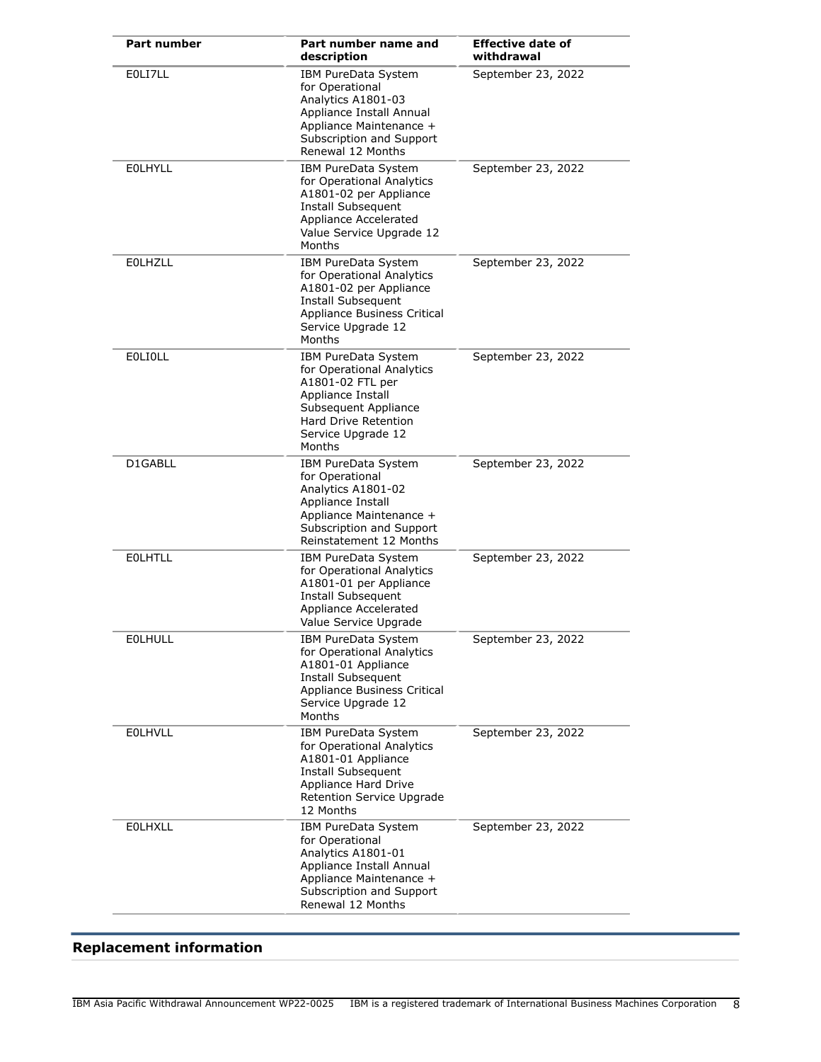| <b>Part number</b> | Part number name and<br>description                                                                                                                                              | <b>Effective date of</b><br>withdrawal |
|--------------------|----------------------------------------------------------------------------------------------------------------------------------------------------------------------------------|----------------------------------------|
| EOLI7LL            | IBM PureData System<br>for Operational<br>Analytics A1801-03<br>Appliance Install Annual<br>Appliance Maintenance +<br>Subscription and Support<br>Renewal 12 Months             | September 23, 2022                     |
| <b>EOLHYLL</b>     | IBM PureData System<br>for Operational Analytics<br>A1801-02 per Appliance<br>Install Subsequent<br>Appliance Accelerated<br>Value Service Upgrade 12<br>Months                  | September 23, 2022                     |
| <b>EOLHZLL</b>     | IBM PureData System<br>for Operational Analytics<br>A1801-02 per Appliance<br><b>Install Subsequent</b><br>Appliance Business Critical<br>Service Upgrade 12<br>Months           | September 23, 2022                     |
| <b>EOLIOLL</b>     | IBM PureData System<br>for Operational Analytics<br>A1801-02 FTL per<br>Appliance Install<br>Subsequent Appliance<br><b>Hard Drive Retention</b><br>Service Upgrade 12<br>Months | September 23, 2022                     |
| D1GABLL            | IBM PureData System<br>for Operational<br>Analytics A1801-02<br>Appliance Install<br>Appliance Maintenance +<br>Subscription and Support<br>Reinstatement 12 Months              | September 23, 2022                     |
| <b>EOLHTLL</b>     | IBM PureData System<br>for Operational Analytics<br>A1801-01 per Appliance<br><b>Install Subsequent</b><br>Appliance Accelerated<br>Value Service Upgrade                        | September 23, 2022                     |
| <b>EOLHULL</b>     | IBM PureData System<br>for Operational Analytics<br>A1801-01 Appliance<br>Install Subsequent<br>Appliance Business Critical<br>Service Upgrade 12<br>Months                      | September 23, 2022                     |
| <b>EOLHVLL</b>     | IBM PureData System<br>for Operational Analytics<br>A1801-01 Appliance<br>Install Subsequent<br>Appliance Hard Drive<br>Retention Service Upgrade<br>12 Months                   | September 23, 2022                     |
| <b>EOLHXLL</b>     | IBM PureData System<br>for Operational<br>Analytics A1801-01<br>Appliance Install Annual<br>Appliance Maintenance +<br>Subscription and Support<br>Renewal 12 Months             | September 23, 2022                     |

## <span id="page-7-0"></span>**Replacement information**